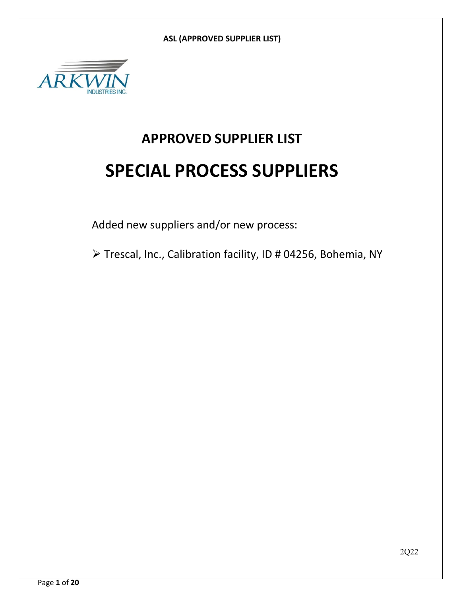

# **APPROVED SUPPLIER LIST SPECIAL PROCESS SUPPLIERS**

Added new suppliers and/or new process:

Trescal, Inc., Calibration facility, ID # 04256, Bohemia, NY

2Q22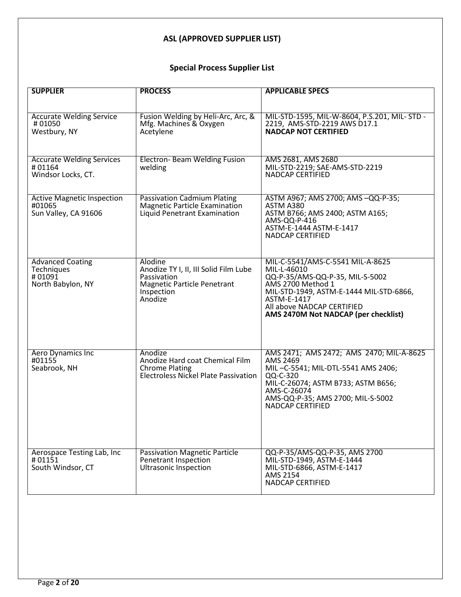# **Special Process Supplier List**

| <b>SUPPLIER</b>                                                      | <b>PROCESS</b>                                                                                                                 | <b>APPLICABLE SPECS</b>                                                                                                                                                                                                                 |
|----------------------------------------------------------------------|--------------------------------------------------------------------------------------------------------------------------------|-----------------------------------------------------------------------------------------------------------------------------------------------------------------------------------------------------------------------------------------|
| <b>Accurate Welding Service</b><br>#01050                            | Fusion Welding by Heli-Arc, Arc, &<br>Mfg. Machines & Oxygen                                                                   | MIL-STD-1595, MIL-W-8604, P.S.201, MIL-STD -<br>2219, AMS-STD-2219 AWS D17.1                                                                                                                                                            |
| Westbury, NY                                                         | Acetylene                                                                                                                      | <b>NADCAP NOT CERTIFIED</b>                                                                                                                                                                                                             |
| <b>Accurate Welding Services</b><br>#01164<br>Windsor Locks, CT.     | Electron-Beam Welding Fusion<br>welding                                                                                        | AMS 2681, AMS 2680<br>MIL-STD-2219; SAE-AMS-STD-2219<br><b>NADCAP CERTIFIED</b>                                                                                                                                                         |
| <b>Active Magnetic Inspection</b><br>#01065<br>Sun Valley, CA 91606  | <b>Passivation Cadmium Plating</b><br><b>Magnetic Particle Examination</b><br>Liquid Penetrant Examination                     | ASTM A967; AMS 2700; AMS -QQ-P-35;<br>ASTM A380<br>ASTM B766; AMS 2400; ASTM A165;<br>AMS-QQ-P-416<br>ASTM-E-1444 ASTM-E-1417<br><b>NADCAP CERTIFIED</b>                                                                                |
| <b>Advanced Coating</b><br>Techniques<br>#01091<br>North Babylon, NY | Alodine<br>Anodize TY I, II, III Solid Film Lube<br>Passivation<br><b>Magnetic Particle Penetrant</b><br>Inspection<br>Anodize | MIL-C-5541/AMS-C-5541 MIL-A-8625<br>MIL-L-46010<br>QQ-P-35/AMS-QQ-P-35, MIL-S-5002<br>AMS 2700 Method 1<br>MIL-STD-1949, ASTM-E-1444 MIL-STD-6866,<br>ASTM-E-1417<br>All above NADCAP CERTIFIED<br>AMS 2470M Not NADCAP (per checklist) |
| Aero Dynamics Inc<br>#01155<br>Seabrook, NH                          | Anodize<br>Anodize Hard coat Chemical Film<br><b>Chrome Plating</b><br><b>Electroless Nickel Plate Passivation</b>             | AMS 2471; AMS 2472; AMS 2470; MIL-A-8625<br>AMS 2469<br>MIL-C-5541; MIL-DTL-5541 AMS 2406;<br>QQ-C-320<br>MIL-C-26074; ASTM B733; ASTM B656;<br>AMS-C-26074<br>AMS-QQ-P-35; AMS 2700; MIL-S-5002<br><b>NADCAP CERTIFIED</b>             |
| Aerospace Testing Lab, Inc<br>#01151<br>South Windsor, CT            | <b>Passivation Magnetic Particle</b><br>Penetrant Inspection<br><b>Ultrasonic Inspection</b>                                   | QQ-P-35/AMS-QQ-P-35, AMS 2700<br>MIL-STD-1949, ASTM-E-1444<br>MIL-STD-6866, ASTM-E-1417<br>AMS 2154<br><b>NADCAP CERTIFIED</b>                                                                                                          |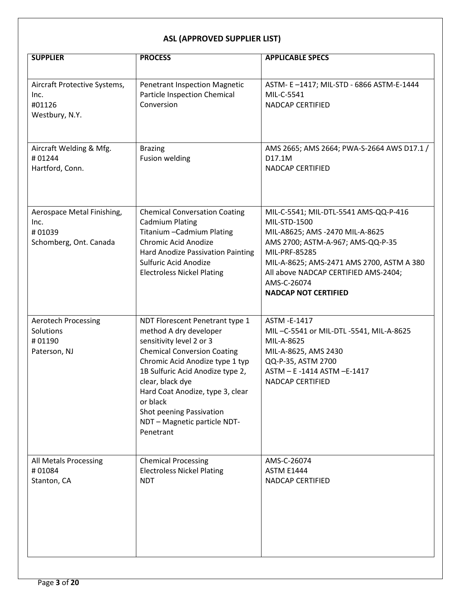| <b>SUPPLIER</b>                                                        | <b>PROCESS</b>                                                                                                                                                                                                                                                                                                                                  | <b>APPLICABLE SPECS</b>                                                                                                                                                                                                                                                           |
|------------------------------------------------------------------------|-------------------------------------------------------------------------------------------------------------------------------------------------------------------------------------------------------------------------------------------------------------------------------------------------------------------------------------------------|-----------------------------------------------------------------------------------------------------------------------------------------------------------------------------------------------------------------------------------------------------------------------------------|
| Aircraft Protective Systems,<br>Inc.<br>#01126<br>Westbury, N.Y.       | <b>Penetrant Inspection Magnetic</b><br>Particle Inspection Chemical<br>Conversion                                                                                                                                                                                                                                                              | ASTM- E-1417; MIL-STD - 6866 ASTM-E-1444<br>MIL-C-5541<br><b>NADCAP CERTIFIED</b>                                                                                                                                                                                                 |
| Aircraft Welding & Mfg.<br>#01244<br>Hartford, Conn.                   | <b>Brazing</b><br><b>Fusion welding</b>                                                                                                                                                                                                                                                                                                         | AMS 2665; AMS 2664; PWA-S-2664 AWS D17.1 /<br>D17.1M<br><b>NADCAP CERTIFIED</b>                                                                                                                                                                                                   |
| Aerospace Metal Finishing,<br>Inc.<br>#01039<br>Schomberg, Ont. Canada | <b>Chemical Conversation Coating</b><br><b>Cadmium Plating</b><br>Titanium - Cadmium Plating<br>Chromic Acid Anodize<br>Hard Anodize Passivation Painting<br>Sulfuric Acid Anodize<br><b>Electroless Nickel Plating</b>                                                                                                                         | MIL-C-5541; MIL-DTL-5541 AMS-QQ-P-416<br>MIL-STD-1500<br>MIL-A8625; AMS -2470 MIL-A-8625<br>AMS 2700; ASTM-A-967; AMS-QQ-P-35<br>MIL-PRF-85285<br>MIL-A-8625; AMS-2471 AMS 2700, ASTM A 380<br>All above NADCAP CERTIFIED AMS-2404;<br>AMS-C-26074<br><b>NADCAP NOT CERTIFIED</b> |
| <b>Aerotech Processing</b><br>Solutions<br>#01190<br>Paterson, NJ      | NDT Florescent Penetrant type 1<br>method A dry developer<br>sensitivity level 2 or 3<br><b>Chemical Conversion Coating</b><br>Chromic Acid Anodize type 1 typ<br>1B Sulfuric Acid Anodize type 2,<br>clear, black dye<br>Hard Coat Anodize, type 3, clear<br>or black<br>Shot peening Passivation<br>NDT - Magnetic particle NDT-<br>Penetrant | ASTM - E-1417<br>MIL-C-5541 or MIL-DTL-5541, MIL-A-8625<br>MIL-A-8625<br>MIL-A-8625, AMS 2430<br>QQ-P-35, ASTM 2700<br>ASTM - E -1414 ASTM - E-1417<br><b>NADCAP CERTIFIED</b>                                                                                                    |
| All Metals Processing<br>#01084<br>Stanton, CA                         | <b>Chemical Processing</b><br><b>Electroless Nickel Plating</b><br><b>NDT</b>                                                                                                                                                                                                                                                                   | AMS-C-26074<br><b>ASTM E1444</b><br>NADCAP CERTIFIED                                                                                                                                                                                                                              |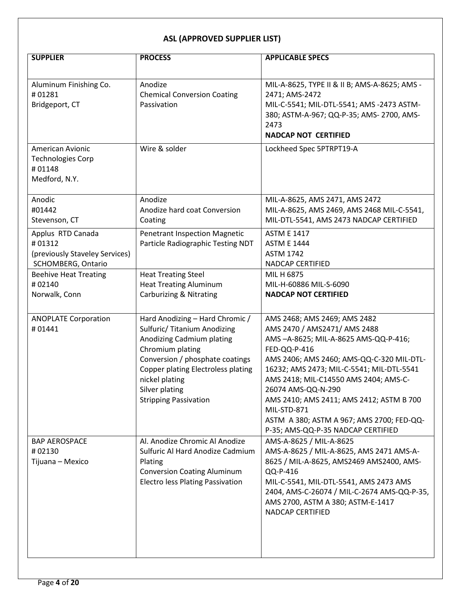| <b>SUPPLIER</b>                                                                     | <b>PROCESS</b>                                                                                                                                                                                                                                                | <b>APPLICABLE SPECS</b>                                                                                                                                                                                                                                                                                                                                                                                                     |
|-------------------------------------------------------------------------------------|---------------------------------------------------------------------------------------------------------------------------------------------------------------------------------------------------------------------------------------------------------------|-----------------------------------------------------------------------------------------------------------------------------------------------------------------------------------------------------------------------------------------------------------------------------------------------------------------------------------------------------------------------------------------------------------------------------|
| Aluminum Finishing Co.<br>#01281<br>Bridgeport, CT                                  | Anodize<br><b>Chemical Conversion Coating</b><br>Passivation                                                                                                                                                                                                  | MIL-A-8625, TYPE II & II B; AMS-A-8625; AMS -<br>2471; AMS-2472<br>MIL-C-5541; MIL-DTL-5541; AMS -2473 ASTM-<br>380; ASTM-A-967; QQ-P-35; AMS- 2700, AMS-<br>2473<br><b>NADCAP NOT CERTIFIED</b>                                                                                                                                                                                                                            |
| American Avionic<br><b>Technologies Corp</b><br>#01148<br>Medford, N.Y.             | Wire & solder                                                                                                                                                                                                                                                 | Lockheed Spec 5PTRPT19-A                                                                                                                                                                                                                                                                                                                                                                                                    |
| Anodic<br>#01442<br>Stevenson, CT                                                   | Anodize<br>Anodize hard coat Conversion<br>Coating                                                                                                                                                                                                            | MIL-A-8625, AMS 2471, AMS 2472<br>MIL-A-8625, AMS 2469, AMS 2468 MIL-C-5541,<br>MIL-DTL-5541, AMS 2473 NADCAP CERTIFIED                                                                                                                                                                                                                                                                                                     |
| Applus RTD Canada<br>#01312<br>(previously Staveley Services)<br>SCHOMBERG, Ontario | <b>Penetrant Inspection Magnetic</b><br>Particle Radiographic Testing NDT                                                                                                                                                                                     | <b>ASTM E 1417</b><br><b>ASTM E 1444</b><br><b>ASTM 1742</b><br>NADCAP CERTIFIED                                                                                                                                                                                                                                                                                                                                            |
| <b>Beehive Heat Treating</b><br>#02140<br>Norwalk, Conn                             | <b>Heat Treating Steel</b><br><b>Heat Treating Aluminum</b><br><b>Carburizing &amp; Nitrating</b>                                                                                                                                                             | MIL H 6875<br>MIL-H-60886 MIL-S-6090<br><b>NADCAP NOT CERTIFIED</b>                                                                                                                                                                                                                                                                                                                                                         |
| <b>ANOPLATE Corporation</b><br>#01441                                               | Hard Anodizing - Hard Chromic /<br>Sulfuric/ Titanium Anodizing<br>Anodizing Cadmium plating<br>Chromium plating<br>Conversion / phosphate coatings<br>Copper plating Electroless plating<br>nickel plating<br>Silver plating<br><b>Stripping Passivation</b> | AMS 2468; AMS 2469; AMS 2482<br>AMS 2470 / AMS2471/ AMS 2488<br>AMS-A-8625; MIL-A-8625 AMS-QQ-P-416;<br>FED-QQ-P-416<br>AMS 2406; AMS 2460; AMS-QQ-C-320 MIL-DTL-<br>16232; AMS 2473; MIL-C-5541; MIL-DTL-5541<br>AMS 2418; MIL-C14550 AMS 2404; AMS-C-<br>26074 AMS-QQ-N-290<br>AMS 2410; AMS 2411; AMS 2412; ASTM B 700<br>MIL-STD-871<br>ASTM A 380; ASTM A 967; AMS 2700; FED-QQ-<br>P-35; AMS-QQ-P-35 NADCAP CERTIFIED |
| <b>BAP AEROSPACE</b><br>#02130<br>Tijuana - Mexico                                  | Al. Anodize Chromic Al Anodize<br>Sulfuric Al Hard Anodize Cadmium<br>Plating<br><b>Conversion Coating Aluminum</b><br><b>Electro less Plating Passivation</b>                                                                                                | AMS-A-8625 / MIL-A-8625<br>AMS-A-8625 / MIL-A-8625, AMS 2471 AMS-A-<br>8625 / MIL-A-8625, AMS2469 AMS2400, AMS-<br>QQ-P-416<br>MIL-C-5541, MIL-DTL-5541, AMS 2473 AMS<br>2404, AMS-C-26074 / MIL-C-2674 AMS-QQ-P-35,<br>AMS 2700, ASTM A 380; ASTM-E-1417<br><b>NADCAP CERTIFIED</b>                                                                                                                                        |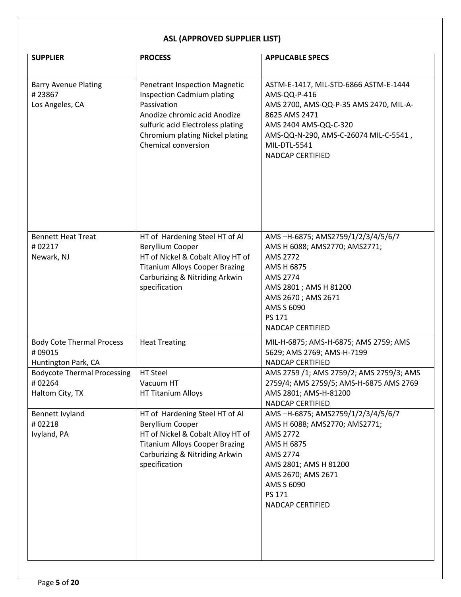| <b>SUPPLIER</b>                                                   | <b>PROCESS</b>                                                                                                                                                                                                                 | <b>APPLICABLE SPECS</b>                                                                                                                                                                                                       |
|-------------------------------------------------------------------|--------------------------------------------------------------------------------------------------------------------------------------------------------------------------------------------------------------------------------|-------------------------------------------------------------------------------------------------------------------------------------------------------------------------------------------------------------------------------|
| <b>Barry Avenue Plating</b><br>#23867<br>Los Angeles, CA          | <b>Penetrant Inspection Magnetic</b><br><b>Inspection Cadmium plating</b><br>Passivation<br>Anodize chromic acid Anodize<br>sulfuric acid Electroless plating<br>Chromium plating Nickel plating<br><b>Chemical conversion</b> | ASTM-E-1417, MIL-STD-6866 ASTM-E-1444<br>AMS-QQ-P-416<br>AMS 2700, AMS-QQ-P-35 AMS 2470, MIL-A-<br>8625 AMS 2471<br>AMS 2404 AMS-QQ-C-320<br>AMS-QQ-N-290, AMS-C-26074 MIL-C-5541,<br>MIL-DTL-5541<br><b>NADCAP CERTIFIED</b> |
| <b>Bennett Heat Treat</b><br>#02217<br>Newark, NJ                 | HT of Hardening Steel HT of Al<br>Beryllium Cooper<br>HT of Nickel & Cobalt Alloy HT of<br><b>Titanium Alloys Cooper Brazing</b><br>Carburizing & Nitriding Arkwin<br>specification                                            | AMS-H-6875; AMS2759/1/2/3/4/5/6/7<br>AMS H 6088; AMS2770; AMS2771;<br>AMS 2772<br>AMS H 6875<br>AMS 2774<br>AMS 2801 ; AMS H 81200<br>AMS 2670; AMS 2671<br>AMS S 6090<br>PS 171<br>NADCAP CERTIFIED                          |
| <b>Body Cote Thermal Process</b><br>#09015<br>Huntington Park, CA | <b>Heat Treating</b>                                                                                                                                                                                                           | MIL-H-6875; AMS-H-6875; AMS 2759; AMS<br>5629; AMS 2769; AMS-H-7199<br><b>NADCAP CERTIFIED</b>                                                                                                                                |
| <b>Bodycote Thermal Processing</b><br>#02264<br>Haltom City, TX   | HT Steel<br>Vacuum HT<br>HT Titanium Alloys                                                                                                                                                                                    | AMS 2759 /1; AMS 2759/2; AMS 2759/3; AMS<br>2759/4; AMS 2759/5; AMS-H-6875 AMS 2769<br>AMS 2801; AMS-H-81200<br>NADCAP CERTIFIED                                                                                              |
| Bennett Ivyland<br>#02218<br>Ivyland, PA                          | HT of Hardening Steel HT of Al<br>Beryllium Cooper<br>HT of Nickel & Cobalt Alloy HT of<br><b>Titanium Alloys Cooper Brazing</b><br>Carburizing & Nitriding Arkwin<br>specification                                            | AMS-H-6875; AMS2759/1/2/3/4/5/6/7<br>AMS H 6088; AMS2770; AMS2771;<br>AMS 2772<br>AMS H 6875<br>AMS 2774<br>AMS 2801; AMS H 81200<br>AMS 2670; AMS 2671<br>AMS S 6090<br>PS 171<br>NADCAP CERTIFIED                           |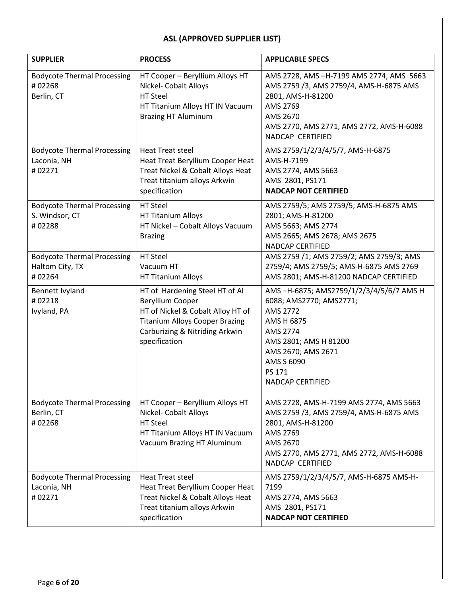| <b>SUPPLIER</b>                                                 | <b>PROCESS</b>                                                                                                                                                                      | <b>APPLICABLE SPECS</b>                                                                                                                                                                                    |
|-----------------------------------------------------------------|-------------------------------------------------------------------------------------------------------------------------------------------------------------------------------------|------------------------------------------------------------------------------------------------------------------------------------------------------------------------------------------------------------|
| <b>Bodycote Thermal Processing</b><br>#02268<br>Berlin, CT      | HT Cooper - Beryllium Alloys HT<br>Nickel- Cobalt Alloys<br>HT Steel<br>HT Titanium Alloys HT IN Vacuum<br><b>Brazing HT Aluminum</b>                                               | AMS 2728, AMS -H-7199 AMS 2774, AMS 5663<br>AMS 2759 /3, AMS 2759/4, AMS-H-6875 AMS<br>2801, AMS-H-81200<br>AMS 2769<br>AMS 2670<br>AMS 2770, AMS 2771, AMS 2772, AMS-H-6088<br>NADCAP CERTIFIED           |
| <b>Bodycote Thermal Processing</b><br>Laconia, NH<br>#02271     | Heat Treat steel<br>Heat Treat Beryllium Cooper Heat<br>Treat Nickel & Cobalt Alloys Heat<br>Treat titanium alloys Arkwin<br>specification                                          | AMS 2759/1/2/3/4/5/7, AMS-H-6875<br>AMS-H-7199<br>AMS 2774, AMS 5663<br>AMS 2801, PS171<br><b>NADCAP NOT CERTIFIED</b>                                                                                     |
| <b>Bodycote Thermal Processing</b><br>S. Windsor, CT<br>#02288  | HT Steel<br>HT Titanium Alloys<br>HT Nickel - Cobalt Alloys Vacuum<br><b>Brazing</b>                                                                                                | AMS 2759/5; AMS 2759/5; AMS-H-6875 AMS<br>2801; AMS-H-81200<br>AMS 5663; AMS 2774<br>AMS 2665; AMS 2678; AMS 2675<br><b>NADCAP CERTIFIED</b>                                                               |
| <b>Bodycote Thermal Processing</b><br>Haltom City, TX<br>#02264 | HT Steel<br>Vacuum HT<br>HT Titanium Alloys                                                                                                                                         | AMS 2759 /1; AMS 2759/2; AMS 2759/3; AMS<br>2759/4; AMS 2759/5; AMS-H-6875 AMS 2769<br>AMS 2801; AMS-H-81200 NADCAP CERTIFIED                                                                              |
| Bennett Ivyland<br>#02218<br>Ivyland, PA                        | HT of Hardening Steel HT of Al<br>Beryllium Cooper<br>HT of Nickel & Cobalt Alloy HT of<br><b>Titanium Alloys Cooper Brazing</b><br>Carburizing & Nitriding Arkwin<br>specification | AMS-H-6875; AMS2759/1/2/3/4/5/6/7 AMS H<br>6088; AMS2770; AMS2771;<br>AMS 2772<br>AMS H 6875<br>AMS 2774<br>AMS 2801; AMS H 81200<br>AMS 2670; AMS 2671<br>AMS S 6090<br>PS 171<br><b>NADCAP CERTIFIED</b> |
| <b>Bodycote Thermal Processing</b><br>Berlin, CT<br>#02268      | HT Cooper - Beryllium Alloys HT<br>Nickel- Cobalt Alloys<br>HT Steel<br>HT Titanium Alloys HT IN Vacuum<br>Vacuum Brazing HT Aluminum                                               | AMS 2728, AMS-H-7199 AMS 2774, AMS 5663<br>AMS 2759 /3, AMS 2759/4, AMS-H-6875 AMS<br>2801, AMS-H-81200<br>AMS 2769<br>AMS 2670<br>AMS 2770, AMS 2771, AMS 2772, AMS-H-6088<br>NADCAP CERTIFIED            |
| <b>Bodycote Thermal Processing</b><br>Laconia, NH<br>#02271     | <b>Heat Treat steel</b><br>Heat Treat Beryllium Cooper Heat<br>Treat Nickel & Cobalt Alloys Heat<br>Treat titanium alloys Arkwin<br>specification                                   | AMS 2759/1/2/3/4/5/7, AMS-H-6875 AMS-H-<br>7199<br>AMS 2774, AMS 5663<br>AMS 2801, PS171<br><b>NADCAP NOT CERTIFIED</b>                                                                                    |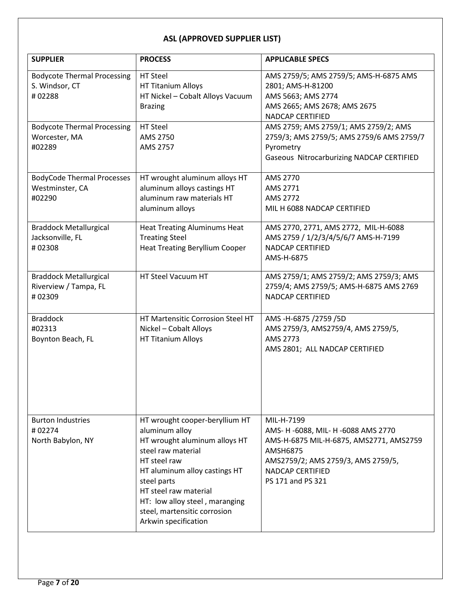| <b>SUPPLIER</b>                                                  | <b>PROCESS</b>                                                                                                                                                                                                                                                                             | <b>APPLICABLE SPECS</b>                                                                                                                                                                               |
|------------------------------------------------------------------|--------------------------------------------------------------------------------------------------------------------------------------------------------------------------------------------------------------------------------------------------------------------------------------------|-------------------------------------------------------------------------------------------------------------------------------------------------------------------------------------------------------|
| <b>Bodycote Thermal Processing</b><br>S. Windsor, CT<br>#02288   | HT Steel<br>HT Titanium Alloys<br>HT Nickel - Cobalt Alloys Vacuum<br><b>Brazing</b>                                                                                                                                                                                                       | AMS 2759/5; AMS 2759/5; AMS-H-6875 AMS<br>2801; AMS-H-81200<br>AMS 5663; AMS 2774<br>AMS 2665; AMS 2678; AMS 2675<br><b>NADCAP CERTIFIED</b>                                                          |
| <b>Bodycote Thermal Processing</b><br>Worcester, MA<br>#02289    | HT Steel<br>AMS 2750<br>AMS 2757                                                                                                                                                                                                                                                           | AMS 2759; AMS 2759/1; AMS 2759/2; AMS<br>2759/3; AMS 2759/5; AMS 2759/6 AMS 2759/7<br>Pyrometry<br>Gaseous Nitrocarburizing NADCAP CERTIFIED                                                          |
| <b>BodyCode Thermal Processes</b><br>Westminster, CA<br>#02290   | HT wrought aluminum alloys HT<br>aluminum alloys castings HT<br>aluminum raw materials HT<br>aluminum alloys                                                                                                                                                                               | AMS 2770<br>AMS 2771<br>AMS 2772<br>MIL H 6088 NADCAP CERTIFIED                                                                                                                                       |
| <b>Braddock Metallurgical</b><br>Jacksonville, FL<br>#02308      | <b>Heat Treating Aluminums Heat</b><br><b>Treating Steel</b><br><b>Heat Treating Beryllium Cooper</b>                                                                                                                                                                                      | AMS 2770, 2771, AMS 2772, MIL-H-6088<br>AMS 2759 / 1/2/3/4/5/6/7 AMS-H-7199<br><b>NADCAP CERTIFIED</b><br>AMS-H-6875                                                                                  |
| <b>Braddock Metallurgical</b><br>Riverview / Tampa, FL<br>#02309 | HT Steel Vacuum HT                                                                                                                                                                                                                                                                         | AMS 2759/1; AMS 2759/2; AMS 2759/3; AMS<br>2759/4; AMS 2759/5; AMS-H-6875 AMS 2769<br><b>NADCAP CERTIFIED</b>                                                                                         |
| <b>Braddock</b><br>#02313<br>Boynton Beach, FL                   | HT Martensitic Corrosion Steel HT<br>Nickel - Cobalt Alloys<br>HT Titanium Alloys                                                                                                                                                                                                          | AMS-H-6875 /2759 /5D<br>AMS 2759/3, AMS2759/4, AMS 2759/5,<br>AMS 2773<br>AMS 2801; ALL NADCAP CERTIFIED                                                                                              |
| <b>Burton Industries</b><br>#02274<br>North Babylon, NY          | HT wrought cooper-beryllium HT<br>aluminum alloy<br>HT wrought aluminum alloys HT<br>steel raw material<br>HT steel raw<br>HT aluminum alloy castings HT<br>steel parts<br>HT steel raw material<br>HT: low alloy steel, maranging<br>steel, martensitic corrosion<br>Arkwin specification | MIL-H-7199<br>AMS- H -6088, MIL- H -6088 AMS 2770<br>AMS-H-6875 MIL-H-6875, AMS2771, AMS2759<br><b>AMSH6875</b><br>AMS2759/2; AMS 2759/3, AMS 2759/5,<br><b>NADCAP CERTIFIED</b><br>PS 171 and PS 321 |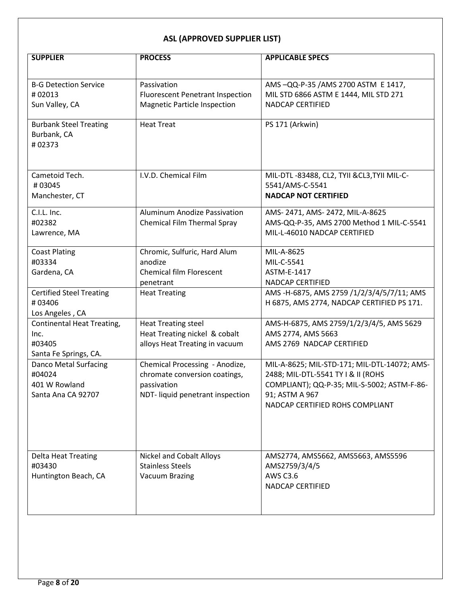| <b>SUPPLIER</b>                   | <b>PROCESS</b>                          | <b>APPLICABLE SPECS</b>                           |
|-----------------------------------|-----------------------------------------|---------------------------------------------------|
|                                   |                                         |                                                   |
| <b>B-G Detection Service</b>      | Passivation                             | AMS-QQ-P-35 /AMS 2700 ASTM E 1417,                |
| #02013                            | <b>Fluorescent Penetrant Inspection</b> | MIL STD 6866 ASTM E 1444, MIL STD 271             |
| Sun Valley, CA                    | <b>Magnetic Particle Inspection</b>     | <b>NADCAP CERTIFIED</b>                           |
| <b>Burbank Steel Treating</b>     | <b>Heat Treat</b>                       | PS 171 (Arkwin)                                   |
| Burbank, CA                       |                                         |                                                   |
| #02373                            |                                         |                                                   |
|                                   |                                         |                                                   |
|                                   |                                         |                                                   |
| Cametoid Tech.                    | I.V.D. Chemical Film                    | MIL-DTL-83488, CL2, TYII & CL3, TYII MIL-C-       |
| #03045                            |                                         | 5541/AMS-C-5541                                   |
| Manchester, CT                    |                                         | <b>NADCAP NOT CERTIFIED</b>                       |
| C.I.L. Inc.                       | <b>Aluminum Anodize Passivation</b>     | AMS-2471, AMS-2472, MIL-A-8625                    |
| #02382                            | Chemical Film Thermal Spray             | AMS-QQ-P-35, AMS 2700 Method 1 MIL-C-5541         |
| Lawrence, MA                      |                                         | MIL-L-46010 NADCAP CERTIFIED                      |
|                                   |                                         |                                                   |
| <b>Coast Plating</b><br>#03334    | Chromic, Sulfuric, Hard Alum<br>anodize | MIL-A-8625<br>MIL-C-5541                          |
| Gardena, CA                       | <b>Chemical film Florescent</b>         | ASTM-E-1417                                       |
|                                   | penetrant                               | <b>NADCAP CERTIFIED</b>                           |
| <b>Certified Steel Treating</b>   | <b>Heat Treating</b>                    | AMS -H-6875, AMS 2759 /1/2/3/4/5/7/11; AMS        |
| #03406                            |                                         | H 6875, AMS 2774, NADCAP CERTIFIED PS 171.        |
| Los Angeles, CA                   |                                         |                                                   |
| <b>Continental Heat Treating,</b> | <b>Heat Treating steel</b>              | AMS-H-6875, AMS 2759/1/2/3/4/5, AMS 5629          |
| Inc.                              | Heat Treating nickel & cobalt           | AMS 2774, AMS 5663                                |
| #03405                            | alloys Heat Treating in vacuum          | AMS 2769 NADCAP CERTIFIED                         |
| Santa Fe Springs, CA.             |                                         |                                                   |
| Danco Metal Surfacing             | Chemical Processing - Anodize,          | MIL-A-8625; MIL-STD-171; MIL-DTL-14072; AMS-      |
| #04024                            | chromate conversion coatings,           | 2488; MIL-DTL-5541 TY I & II (ROHS                |
| 401 W Rowland                     | passivation                             | COMPLIANT); QQ-P-35; MIL-S-5002; ASTM-F-86-       |
| Santa Ana CA 92707                | NDT- liquid penetrant inspection        | 91; ASTM A 967<br>NADCAP CERTIFIED ROHS COMPLIANT |
|                                   |                                         |                                                   |
|                                   |                                         |                                                   |
|                                   |                                         |                                                   |
|                                   |                                         |                                                   |
| <b>Delta Heat Treating</b>        | <b>Nickel and Cobalt Alloys</b>         | AMS2774, AMS5662, AMS5663, AMS5596                |
| #03430                            | <b>Stainless Steels</b>                 | AMS2759/3/4/5                                     |
| Huntington Beach, CA              | <b>Vacuum Brazing</b>                   | <b>AWS C3.6</b>                                   |
|                                   |                                         | NADCAP CERTIFIED                                  |
|                                   |                                         |                                                   |
|                                   |                                         |                                                   |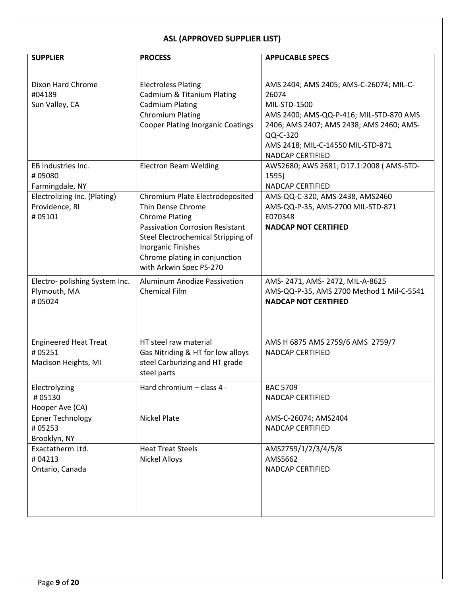| <b>SUPPLIER</b>                                               | <b>PROCESS</b>                                                                                                                                                                                                                                         | <b>APPLICABLE SPECS</b>                                                                                                                                                                                                      |
|---------------------------------------------------------------|--------------------------------------------------------------------------------------------------------------------------------------------------------------------------------------------------------------------------------------------------------|------------------------------------------------------------------------------------------------------------------------------------------------------------------------------------------------------------------------------|
|                                                               |                                                                                                                                                                                                                                                        |                                                                                                                                                                                                                              |
| Dixon Hard Chrome<br>#04189<br>Sun Valley, CA                 | <b>Electroless Plating</b><br>Cadmium & Titanium Plating<br><b>Cadmium Plating</b><br><b>Chromium Plating</b><br><b>Cooper Plating Inorganic Coatings</b>                                                                                              | AMS 2404; AMS 2405; AMS-C-26074; MIL-C-<br>26074<br>MIL-STD-1500<br>AMS 2400; AMS-QQ-P-416; MIL-STD-870 AMS<br>2406; AMS 2407; AMS 2438; AMS 2460; AMS-<br>QQ-C-320<br>AMS 2418; MIL-C-14550 MIL-STD-871<br>NADCAP CERTIFIED |
| EB Industries Inc.<br>#05080<br>Farmingdale, NY               | <b>Electron Beam Welding</b>                                                                                                                                                                                                                           | AWS2680; AWS 2681; D17.1:2008 ( AMS-STD-<br>1595)<br>NADCAP CERTIFIED                                                                                                                                                        |
| Electrolizing Inc. (Plating)<br>Providence, RI<br>#05101      | Chromium Plate Electrodeposited<br>Thin Dense Chrome<br><b>Chrome Plating</b><br><b>Passivation Corrosion Resistant</b><br>Steel Electrochemical Stripping of<br><b>Inorganic Finishes</b><br>Chrome plating in conjunction<br>with Arkwin Spec PS-270 | AMS-QQ-C-320, AMS-2438, AMS2460<br>AMS-QQ-P-35, AMS-2700 MIL-STD-871<br>E070348<br><b>NADCAP NOT CERTIFIED</b>                                                                                                               |
| Electro- polishing System Inc.<br>Plymouth, MA<br>#05024      | <b>Aluminum Anodize Passivation</b><br>Chemical Film                                                                                                                                                                                                   | AMS-2471, AMS-2472, MIL-A-8625<br>AMS-QQ-P-35, AMS 2700 Method 1 Mil-C-5541<br><b>NADCAP NOT CERTIFIED</b>                                                                                                                   |
| <b>Engineered Heat Treat</b><br>#05251<br>Madison Heights, MI | HT steel raw material<br>Gas Nitriding & HT for low alloys<br>steel Carburizing and HT grade<br>steel parts                                                                                                                                            | AMS H 6875 AMS 2759/6 AMS 2759/7<br><b>NADCAP CERTIFIED</b>                                                                                                                                                                  |
| Electrolyzing<br>#05130<br>Hooper Ave (CA)                    | Hard chromium - class 4 -                                                                                                                                                                                                                              | <b>BAC 5709</b><br>NADCAP CERTIFIED                                                                                                                                                                                          |
| <b>Epner Technology</b><br>#05253<br>Brooklyn, NY             | <b>Nickel Plate</b>                                                                                                                                                                                                                                    | AMS-C-26074; AMS2404<br>NADCAP CERTIFIED                                                                                                                                                                                     |
| Exactatherm Ltd.<br>#04213<br>Ontario, Canada                 | <b>Heat Treat Steels</b><br><b>Nickel Alloys</b>                                                                                                                                                                                                       | AMS2759/1/2/3/4/5/8<br>AMS5662<br><b>NADCAP CERTIFIED</b>                                                                                                                                                                    |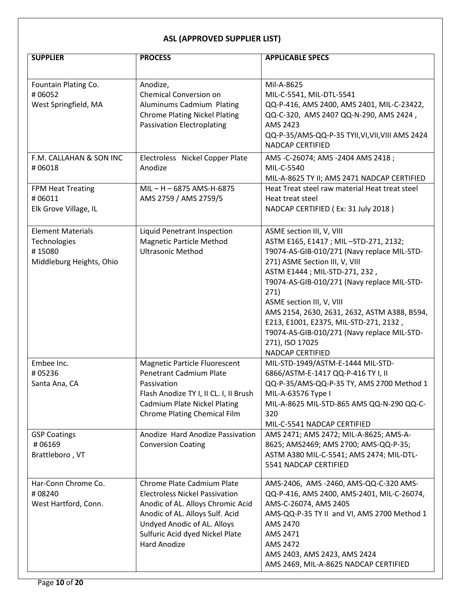| <b>SUPPLIER</b>                                                                | <b>PROCESS</b>                                                                                                                                                                                                                       | <b>APPLICABLE SPECS</b>                                                                                                                                                                                                                                                                                                                                                                                                                                   |
|--------------------------------------------------------------------------------|--------------------------------------------------------------------------------------------------------------------------------------------------------------------------------------------------------------------------------------|-----------------------------------------------------------------------------------------------------------------------------------------------------------------------------------------------------------------------------------------------------------------------------------------------------------------------------------------------------------------------------------------------------------------------------------------------------------|
|                                                                                |                                                                                                                                                                                                                                      |                                                                                                                                                                                                                                                                                                                                                                                                                                                           |
| Fountain Plating Co.<br>#06052<br>West Springfield, MA                         | Anodize,<br><b>Chemical Conversion on</b><br>Aluminums Cadmium Plating<br><b>Chrome Plating Nickel Plating</b><br><b>Passivation Electroplating</b>                                                                                  | Mil-A-8625<br>MIL-C-5541, MIL-DTL-5541<br>QQ-P-416, AMS 2400, AMS 2401, MIL-C-23422,<br>QQ-C-320, AMS 2407 QQ-N-290, AMS 2424,<br>AMS 2423<br>QQ-P-35/AMS-QQ-P-35 TYII, VI, VII, VIII AMS 2424<br><b>NADCAP CERTIFIED</b>                                                                                                                                                                                                                                 |
| F.M. CALLAHAN & SON INC<br>#06018                                              | Electroless Nickel Copper Plate<br>Anodize                                                                                                                                                                                           | AMS -C-26074; AMS -2404 AMS 2418;<br>MIL-C-5540<br>MIL-A-8625 TY II; AMS 2471 NADCAP CERTIFIED                                                                                                                                                                                                                                                                                                                                                            |
| FPM Heat Treating<br>#06011<br>Elk Grove Village, IL                           | $MIL - H - 6875$ AMS-H-6875<br>AMS 2759 / AMS 2759/5                                                                                                                                                                                 | Heat Treat steel raw material Heat treat steel<br>Heat treat steel<br>NADCAP CERTIFIED (Ex: 31 July 2018)                                                                                                                                                                                                                                                                                                                                                 |
| <b>Element Materials</b><br>Technologies<br>#15080<br>Middleburg Heights, Ohio | Liquid Penetrant Inspection<br>Magnetic Particle Method<br><b>Ultrasonic Method</b>                                                                                                                                                  | ASME section III, V, VIII<br>ASTM E165, E1417 ; MIL-STD-271, 2132;<br>T9074-AS-GIB-010/271 (Navy replace MIL-STD-<br>271) ASME Section III, V, VIII<br>ASTM E1444 ; MIL-STD-271, 232,<br>T9074-AS-GIB-010/271 (Navy replace MIL-STD-<br>271)<br>ASME section III, V, VIII<br>AMS 2154, 2630, 2631, 2632, ASTM A388, B594,<br>E213, E1001, E2375, MIL-STD-271, 2132,<br>T9074-AS-GIB-010/271 (Navy replace MIL-STD-<br>271), ISO 17025<br>NADCAP CERTIFIED |
| Embee Inc.<br>#05236<br>Santa Ana, CA                                          | <b>Magnetic Particle Fluorescent</b><br><b>Penetrant Cadmium Plate</b><br>Passivation<br>Flash Anodize TY I, II CL. I, II Brush<br><b>Cadmium Plate Nickel Plating</b><br><b>Chrome Plating Chemical Film</b>                        | MIL-STD-1949/ASTM-E-1444 MIL-STD-<br>6866/ASTM-E-1417 QQ-P-416 TY I, II<br>QQ-P-35/AMS-QQ-P-35 TY, AMS 2700 Method 1<br>MIL-A-63576 Type I<br>MIL-A-8625 MIL-STD-865 AMS QQ-N-290 QQ-C-<br>320<br>MIL-C-5541 NADCAP CERTIFIED                                                                                                                                                                                                                             |
| <b>GSP Coatings</b><br>#06169<br>Brattleboro, VT                               | Anodize Hard Anodize Passivation<br><b>Conversion Coating</b>                                                                                                                                                                        | AMS 2471; AMS 2472; MIL-A-8625; AMS-A-<br>8625; AMS2469; AMS 2700; AMS-QQ-P-35;<br>ASTM A380 MIL-C-5541; AMS 2474; MIL-DTL-<br>5541 NADCAP CERTIFIED                                                                                                                                                                                                                                                                                                      |
| Har-Conn Chrome Co.<br>#08240<br>West Hartford, Conn.                          | Chrome Plate Cadmium Plate<br><b>Electroless Nickel Passivation</b><br>Anodic of AL. Alloys Chromic Acid<br>Anodic of AL. Alloys Sulf. Acid<br>Undyed Anodic of AL. Alloys<br>Sulfuric Acid dyed Nickel Plate<br><b>Hard Anodize</b> | AMS-2406, AMS-2460, AMS-QQ-C-320 AMS-<br>QQ-P-416, AMS 2400, AMS-2401, MIL-C-26074,<br>AMS-C-26074, AMS 2405<br>AMS-QQ-P-35 TY II and VI, AMS 2700 Method 1<br>AMS 2470<br>AMS 2471<br>AMS 2472<br>AMS 2403, AMS 2423, AMS 2424<br>AMS 2469, MIL-A-8625 NADCAP CERTIFIED                                                                                                                                                                                  |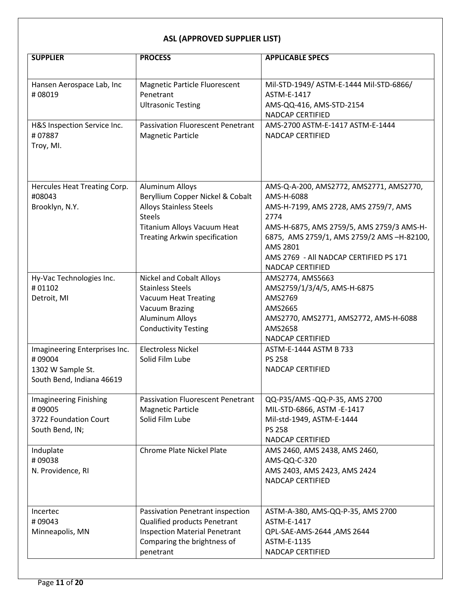| <b>SUPPLIER</b>                       | <b>PROCESS</b>                                       | <b>APPLICABLE SPECS</b>                                  |
|---------------------------------------|------------------------------------------------------|----------------------------------------------------------|
|                                       |                                                      |                                                          |
| Hansen Aerospace Lab, Inc             | <b>Magnetic Particle Fluorescent</b>                 | Mil-STD-1949/ ASTM-E-1444 Mil-STD-6866/                  |
| #08019                                | Penetrant                                            | ASTM-E-1417                                              |
|                                       | <b>Ultrasonic Testing</b>                            | AMS-QQ-416, AMS-STD-2154                                 |
|                                       |                                                      | <b>NADCAP CERTIFIED</b>                                  |
| H&S Inspection Service Inc.<br>#07887 | <b>Passivation Fluorescent Penetrant</b>             | AMS-2700 ASTM-E-1417 ASTM-E-1444                         |
| Troy, MI.                             | <b>Magnetic Particle</b>                             | <b>NADCAP CERTIFIED</b>                                  |
|                                       |                                                      |                                                          |
|                                       |                                                      |                                                          |
| Hercules Heat Treating Corp.          | <b>Aluminum Alloys</b>                               | AMS-Q-A-200, AMS2772, AMS2771, AMS2770,                  |
| #08043                                | Beryllium Copper Nickel & Cobalt                     | AMS-H-6088                                               |
| Brooklyn, N.Y.                        | <b>Alloys Stainless Steels</b><br><b>Steels</b>      | AMS-H-7199, AMS 2728, AMS 2759/7, AMS<br>2774            |
|                                       | Titanium Alloys Vacuum Heat                          | AMS-H-6875, AMS 2759/5, AMS 2759/3 AMS-H-                |
|                                       | <b>Treating Arkwin specification</b>                 | 6875, AMS 2759/1, AMS 2759/2 AMS -H-82100,               |
|                                       |                                                      | AMS 2801                                                 |
|                                       |                                                      | AMS 2769 - All NADCAP CERTIFIED PS 171                   |
|                                       |                                                      | NADCAP CERTIFIED                                         |
| Hy-Vac Technologies Inc.              | <b>Nickel and Cobalt Alloys</b>                      | AMS2774, AMS5663                                         |
| #01102                                | <b>Stainless Steels</b>                              | AMS2759/1/3/4/5, AMS-H-6875                              |
| Detroit, MI                           | <b>Vacuum Heat Treating</b><br><b>Vacuum Brazing</b> | AMS2769<br>AMS2665                                       |
|                                       | <b>Aluminum Alloys</b>                               | AMS2770, AMS2771, AMS2772, AMS-H-6088                    |
|                                       | <b>Conductivity Testing</b>                          | AMS2658                                                  |
|                                       |                                                      | NADCAP CERTIFIED                                         |
| Imagineering Enterprises Inc.         | <b>Electroless Nickel</b>                            | ASTM-E-1444 ASTM B 733                                   |
| #09004                                | Solid Film Lube                                      | <b>PS 258</b>                                            |
| 1302 W Sample St.                     |                                                      | <b>NADCAP CERTIFIED</b>                                  |
| South Bend, Indiana 46619             |                                                      |                                                          |
| <b>Imagineering Finishing</b>         | <b>Passivation Fluorescent Penetrant</b>             | QQ-P35/AMS-QQ-P-35, AMS 2700                             |
| #09005                                | <b>Magnetic Particle</b>                             | MIL-STD-6866, ASTM -E-1417                               |
| 3722 Foundation Court                 | Solid Film Lube                                      | Mil-std-1949, ASTM-E-1444                                |
| South Bend, IN;                       |                                                      | <b>PS 258</b>                                            |
| Induplate                             | <b>Chrome Plate Nickel Plate</b>                     | <b>NADCAP CERTIFIED</b><br>AMS 2460, AMS 2438, AMS 2460, |
| #09038                                |                                                      | AMS-QQ-C-320                                             |
| N. Providence, RI                     |                                                      | AMS 2403, AMS 2423, AMS 2424                             |
|                                       |                                                      | <b>NADCAP CERTIFIED</b>                                  |
|                                       |                                                      |                                                          |
| Incertec                              | Passivation Penetrant inspection                     | ASTM-A-380, AMS-QQ-P-35, AMS 2700                        |
| #09043                                | Qualified products Penetrant                         | ASTM-E-1417                                              |
| Minneapolis, MN                       | <b>Inspection Material Penetrant</b>                 | QPL-SAE-AMS-2644, AMS 2644                               |
|                                       | Comparing the brightness of                          | ASTM-E-1135                                              |
|                                       | penetrant                                            | NADCAP CERTIFIED                                         |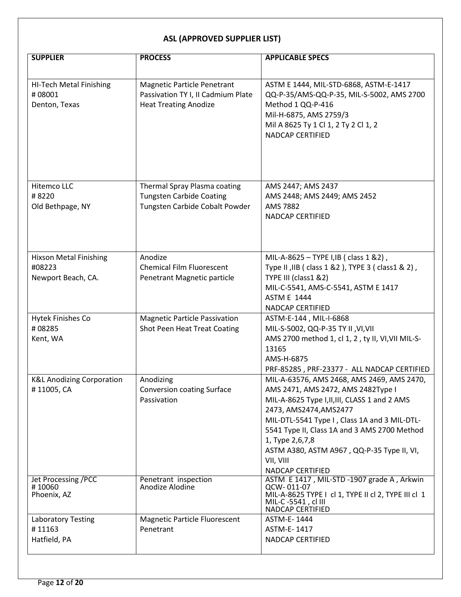| <b>SUPPLIER</b>                                               | <b>PROCESS</b>                                                                                           | <b>APPLICABLE SPECS</b>                                                                                                                                                                                                                                                                                                                                              |
|---------------------------------------------------------------|----------------------------------------------------------------------------------------------------------|----------------------------------------------------------------------------------------------------------------------------------------------------------------------------------------------------------------------------------------------------------------------------------------------------------------------------------------------------------------------|
|                                                               |                                                                                                          |                                                                                                                                                                                                                                                                                                                                                                      |
| HI-Tech Metal Finishing<br>#08001<br>Denton, Texas            | <b>Magnetic Particle Penetrant</b><br>Passivation TY I, II Cadmium Plate<br><b>Heat Treating Anodize</b> | ASTM E 1444, MIL-STD-6868, ASTM-E-1417<br>QQ-P-35/AMS-QQ-P-35, MIL-S-5002, AMS 2700<br>Method 1 QQ-P-416<br>Mil-H-6875, AMS 2759/3<br>Mil A 8625 Ty 1 Cl 1, 2 Ty 2 Cl 1, 2<br><b>NADCAP CERTIFIED</b>                                                                                                                                                                |
| Hitemco LLC<br>#8220<br>Old Bethpage, NY                      | Thermal Spray Plasma coating<br><b>Tungsten Carbide Coating</b><br>Tungsten Carbide Cobalt Powder        | AMS 2447; AMS 2437<br>AMS 2448; AMS 2449; AMS 2452<br><b>AMS 7882</b><br>NADCAP CERTIFIED                                                                                                                                                                                                                                                                            |
| <b>Hixson Metal Finishing</b><br>#08223<br>Newport Beach, CA. | Anodize<br><b>Chemical Film Fluorescent</b><br>Penetrant Magnetic particle                               | MIL-A-8625 - TYPE I, IB ( class 1 & 2),<br>Type II, IIB (class 1 & 2), TYPE 3 (class 1 & 2),<br>TYPE III (class1 &2)<br>MIL-C-5541, AMS-C-5541, ASTM E 1417<br><b>ASTM E 1444</b><br>NADCAP CERTIFIED                                                                                                                                                                |
| Hytek Finishes Co<br>#08285<br>Kent, WA                       | <b>Magnetic Particle Passivation</b><br>Shot Peen Heat Treat Coating                                     | ASTM-E-144, MIL-I-6868<br>MIL-S-5002, QQ-P-35 TY II, VI, VII<br>AMS 2700 method 1, cl 1, 2, ty II, VI, VII MIL-S-<br>13165<br>AMS-H-6875<br>PRF-85285, PRF-23377 - ALL NADCAP CERTIFIED                                                                                                                                                                              |
| <b>K&amp;L Anodizing Corporation</b><br>#11005, CA            | Anodizing<br>Conversion coating Surface<br>Passivation                                                   | MIL-A-63576, AMS 2468, AMS 2469, AMS 2470,<br>AMS 2471, AMS 2472, AMS 2482Type I<br>MIL-A-8625 Type I, II, III, CLASS 1 and 2 AMS<br>2473, AMS2474, AMS2477<br>MIL-DTL-5541 Type I, Class 1A and 3 MIL-DTL-<br>5541 Type II, Class 1A and 3 AMS 2700 Method<br>1, Type 2,6,7,8<br>ASTM A380, ASTM A967, QQ-P-35 Type II, VI,<br>VII, VIII<br><b>NADCAP CERTIFIED</b> |
| <b>Jet Processing /PCC</b><br>#10060<br>Phoenix, AZ           | Penetrant inspection<br>Anodize Alodine                                                                  | ASTM E 1417, MIL-STD -1907 grade A, Arkwin<br>QCW-011-07<br>MIL-A-8625 TYPE I cl 1, TYPE II cl 2, TYPE III cl 1<br>MIL-C-5541, cl III<br>NADCAP CERTIFIED                                                                                                                                                                                                            |
| <b>Laboratory Testing</b><br>#11163<br>Hatfield, PA           | <b>Magnetic Particle Fluorescent</b><br>Penetrant                                                        | ASTM-E-1444<br>ASTM-E-1417<br>NADCAP CERTIFIED                                                                                                                                                                                                                                                                                                                       |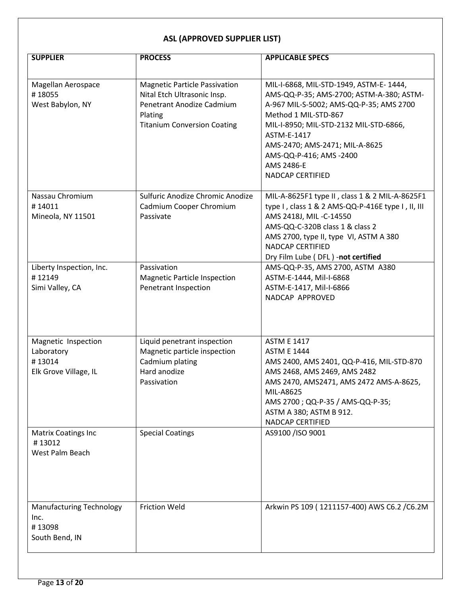| <b>SUPPLIER</b>                                                      | <b>PROCESS</b>                                                                                                                                    | <b>APPLICABLE SPECS</b>                                                                                                                                                                                                                                                                                             |
|----------------------------------------------------------------------|---------------------------------------------------------------------------------------------------------------------------------------------------|---------------------------------------------------------------------------------------------------------------------------------------------------------------------------------------------------------------------------------------------------------------------------------------------------------------------|
| Magellan Aerospace<br>#18055<br>West Babylon, NY                     | <b>Magnetic Particle Passivation</b><br>Nital Etch Ultrasonic Insp.<br>Penetrant Anodize Cadmium<br>Plating<br><b>Titanium Conversion Coating</b> | MIL-I-6868, MIL-STD-1949, ASTM-E-1444,<br>AMS-QQ-P-35; AMS-2700; ASTM-A-380; ASTM-<br>A-967 MIL-S-5002; AMS-QQ-P-35; AMS 2700<br>Method 1 MIL-STD-867<br>MIL-I-8950; MIL-STD-2132 MIL-STD-6866,<br>ASTM-E-1417<br>AMS-2470; AMS-2471; MIL-A-8625<br>AMS-QQ-P-416; AMS-2400<br>AMS 2486-E<br><b>NADCAP CERTIFIED</b> |
| Nassau Chromium<br>#14011<br>Mineola, NY 11501                       | Sulfuric Anodize Chromic Anodize<br>Cadmium Cooper Chromium<br>Passivate                                                                          | MIL-A-8625F1 type II, class 1 & 2 MIL-A-8625F1<br>type I, class 1 & 2 AMS-QQ-P-416E type I, II, III<br>AMS 2418J, MIL-C-14550<br>AMS-QQ-C-320B class 1 & class 2<br>AMS 2700, type II, type VI, ASTM A 380<br><b>NADCAP CERTIFIED</b><br>Dry Film Lube (DFL) -not certified                                         |
| Liberty Inspection, Inc.<br>#12149<br>Simi Valley, CA                | Passivation<br><b>Magnetic Particle Inspection</b><br>Penetrant Inspection                                                                        | AMS-QQ-P-35, AMS 2700, ASTM A380<br>ASTM-E-1444, Mil-I-6868<br>ASTM-E-1417, Mil-I-6866<br>NADCAP APPROVED                                                                                                                                                                                                           |
| Magnetic Inspection<br>Laboratory<br>#13014<br>Elk Grove Village, IL | Liquid penetrant inspection<br>Magnetic particle inspection<br>Cadmium plating<br>Hard anodize<br>Passivation                                     | <b>ASTM E 1417</b><br><b>ASTM E 1444</b><br>AMS 2400, AMS 2401, QQ-P-416, MIL-STD-870<br>AMS 2468, AMS 2469, AMS 2482<br>AMS 2470, AMS2471, AMS 2472 AMS-A-8625,<br>MIL-A8625<br>AMS 2700 ; QQ-P-35 / AMS-QQ-P-35;<br>ASTM A 380; ASTM B 912.<br><b>NADCAP CERTIFIED</b>                                            |
| <b>Matrix Coatings Inc</b><br>#13012<br>West Palm Beach              | <b>Special Coatings</b>                                                                                                                           | AS9100 /ISO 9001                                                                                                                                                                                                                                                                                                    |
| <b>Manufacturing Technology</b><br>Inc.<br>#13098<br>South Bend, IN  | <b>Friction Weld</b>                                                                                                                              | Arkwin PS 109 (1211157-400) AWS C6.2 / C6.2M                                                                                                                                                                                                                                                                        |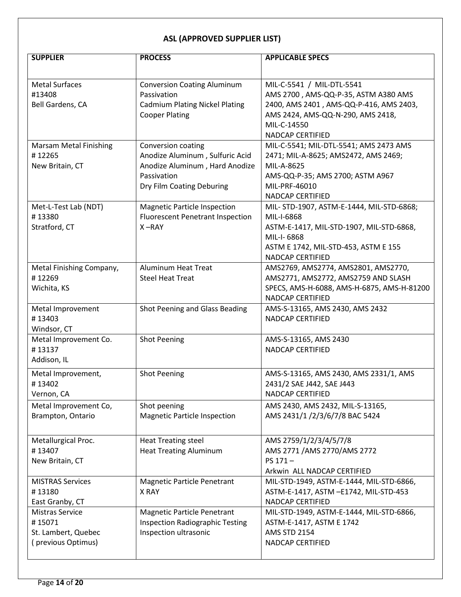| <b>SUPPLIER</b>               | <b>PROCESS</b>                          | <b>APPLICABLE SPECS</b>                    |
|-------------------------------|-----------------------------------------|--------------------------------------------|
|                               |                                         |                                            |
| <b>Metal Surfaces</b>         | <b>Conversion Coating Aluminum</b>      | MIL-C-5541 / MIL-DTL-5541                  |
| #13408                        | Passivation                             | AMS 2700, AMS-QQ-P-35, ASTM A380 AMS       |
| Bell Gardens, CA              | <b>Cadmium Plating Nickel Plating</b>   | 2400, AMS 2401, AMS-QQ-P-416, AMS 2403,    |
|                               | <b>Cooper Plating</b>                   | AMS 2424, AMS-QQ-N-290, AMS 2418,          |
|                               |                                         | MIL-C-14550                                |
|                               |                                         | <b>NADCAP CERTIFIED</b>                    |
| <b>Marsam Metal Finishing</b> | Conversion coating                      | MIL-C-5541; MIL-DTL-5541; AMS 2473 AMS     |
| #12265                        | Anodize Aluminum, Sulfuric Acid         | 2471; MIL-A-8625; AMS2472, AMS 2469;       |
| New Britain, CT               | Anodize Aluminum, Hard Anodize          | MIL-A-8625                                 |
|                               | Passivation                             | AMS-QQ-P-35; AMS 2700; ASTM A967           |
|                               | Dry Film Coating Deburing               | MIL-PRF-46010                              |
|                               |                                         | NADCAP CERTIFIED                           |
| Met-L-Test Lab (NDT)          | <b>Magnetic Particle Inspection</b>     | MIL- STD-1907, ASTM-E-1444, MIL-STD-6868;  |
| #13380                        | <b>Fluorescent Penetrant Inspection</b> | MIL-I-6868                                 |
| Stratford, CT                 | $X - RAY$                               | ASTM-E-1417, MIL-STD-1907, MIL-STD-6868,   |
|                               |                                         | MIL-I-6868                                 |
|                               |                                         | ASTM E 1742, MIL-STD-453, ASTM E 155       |
|                               |                                         | NADCAP CERTIFIED                           |
| Metal Finishing Company,      | <b>Aluminum Heat Treat</b>              | AMS2769, AMS2774, AMS2801, AMS2770,        |
| #12269                        | <b>Steel Heat Treat</b>                 | AMS2771, AMS2772, AMS2759 AND SLASH        |
| Wichita, KS                   |                                         | SPECS, AMS-H-6088, AMS-H-6875, AMS-H-81200 |
|                               |                                         | NADCAP CERTIFIED                           |
| Metal Improvement             | Shot Peening and Glass Beading          | AMS-S-13165, AMS 2430, AMS 2432            |
| #13403                        |                                         | <b>NADCAP CERTIFIED</b>                    |
| Windsor, CT                   |                                         |                                            |
| Metal Improvement Co.         | <b>Shot Peening</b>                     | AMS-S-13165, AMS 2430                      |
| #13137                        |                                         | <b>NADCAP CERTIFIED</b>                    |
| Addison, IL                   |                                         |                                            |
| Metal Improvement,            | <b>Shot Peening</b>                     | AMS-S-13165, AMS 2430, AMS 2331/1, AMS     |
| #13402                        |                                         | 2431/2 SAE J442, SAE J443                  |
| Vernon, CA                    |                                         | <b>NADCAP CERTIFIED</b>                    |
| Metal Improvement Co,         | Shot peening                            | AMS 2430, AMS 2432, MIL-S-13165,           |
| Brampton, Ontario             | <b>Magnetic Particle Inspection</b>     | AMS 2431/1 /2/3/6/7/8 BAC 5424             |
|                               |                                         |                                            |
| Metallurgical Proc.           | <b>Heat Treating steel</b>              | AMS 2759/1/2/3/4/5/7/8                     |
| #13407                        | <b>Heat Treating Aluminum</b>           | AMS 2771 / AMS 2770/ AMS 2772              |
| New Britain, CT               |                                         | PS 171-                                    |
|                               |                                         | Arkwin ALL NADCAP CERTIFIED                |
| <b>MISTRAS Services</b>       | <b>Magnetic Particle Penetrant</b>      | MIL-STD-1949, ASTM-E-1444, MIL-STD-6866,   |
| #13180                        | X RAY                                   | ASTM-E-1417, ASTM -E1742, MIL-STD-453      |
| East Granby, CT               |                                         | NADCAP CERTIFIED                           |
| <b>Mistras Service</b>        | <b>Magnetic Particle Penetrant</b>      | MIL-STD-1949, ASTM-E-1444, MIL-STD-6866,   |
| #15071                        | <b>Inspection Radiographic Testing</b>  | ASTM-E-1417, ASTM E 1742                   |
| St. Lambert, Quebec           | Inspection ultrasonic                   | <b>AMS STD 2154</b>                        |
| (previous Optimus)            |                                         | NADCAP CERTIFIED                           |
|                               |                                         |                                            |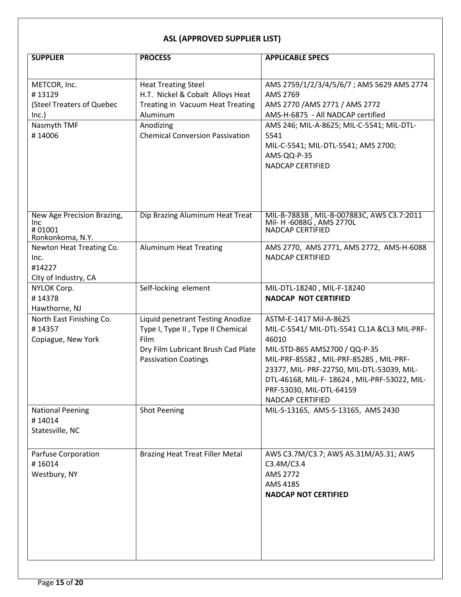| <b>SUPPLIER</b>                                                                       | <b>PROCESS</b>                                                                                                                                                        | <b>APPLICABLE SPECS</b>                                                                                                                                                                                                                                                                                |
|---------------------------------------------------------------------------------------|-----------------------------------------------------------------------------------------------------------------------------------------------------------------------|--------------------------------------------------------------------------------------------------------------------------------------------------------------------------------------------------------------------------------------------------------------------------------------------------------|
|                                                                                       |                                                                                                                                                                       |                                                                                                                                                                                                                                                                                                        |
| METCOR, Inc.<br>#13129<br>(Steel Treaters of Quebec<br>Inc.)<br>Nasmyth TMF<br>#14006 | <b>Heat Treating Steel</b><br>H.T. Nickel & Cobalt Alloys Heat<br>Treating in Vacuum Heat Treating<br>Aluminum<br>Anodizing<br><b>Chemical Conversion Passivation</b> | AMS 2759/1/2/3/4/5/6/7; AMS 5629 AMS 2774<br>AMS 2769<br>AMS 2770 / AMS 2771 / AMS 2772<br>AMS-H-6875 - All NADCAP certified<br>AMS 246; MIL-A-8625; MIL-C-5541; MIL-DTL-<br>5541<br>MIL-C-5541; MIL-DTL-5541; AMS 2700;<br>AMS-QQ-P-35<br><b>NADCAP CERTIFIED</b>                                     |
| New Age Precision Brazing,<br><b>Inc</b><br>#01001<br>Ronkonkoma, N.Y.                | Dip Brazing Aluminum Heat Treat                                                                                                                                       | MIL-B-7883B, MIL-B-007883C, AWS C3.7:2011<br>Mil- H-6088G, AMS 2770L<br><b>NADCAP CERTIFIED</b>                                                                                                                                                                                                        |
| Newton Heat Treating Co.<br>Inc.<br>#14227<br>City of Industry, CA                    | <b>Aluminum Heat Treating</b>                                                                                                                                         | AMS 2770, AMS 2771, AMS 2772, AMS-H-6088<br><b>NADCAP CERTIFIED</b>                                                                                                                                                                                                                                    |
| NYLOK Corp.<br>#14378<br>Hawthorne, NJ                                                | Self-locking element                                                                                                                                                  | MIL-DTL-18240, MIL-F-18240<br><b>NADCAP NOT CERTIFIED</b>                                                                                                                                                                                                                                              |
| North East Finishing Co.<br>#14357<br>Copiague, New York                              | Liquid penetrant Testing Anodize<br>Type I, Type II, Type II Chemical<br>Film<br>Dry Film Lubricant Brush Cad Plate<br><b>Passivation Coatings</b>                    | ASTM-E-1417 Mil-A-8625<br>MIL-C-5541/ MIL-DTL-5541 CL1A &CL3 MIL-PRF-<br>46010<br>MIL-STD-865 AMS2700 / QQ-P-35<br>MIL-PRF-85582, MIL-PRF-85285, MIL-PRF-<br>23377, MIL- PRF-22750, MIL-DTL-53039, MIL-<br>DTL-46168, MIL-F-18624, MIL-PRF-53022, MIL-<br>PRF-53030, MIL-DTL-64159<br>NADCAP CERTIFIED |
| <b>National Peening</b><br>#14014<br>Statesville, NC                                  | <b>Shot Peening</b>                                                                                                                                                   | MIL-S-13165, AMS-S-13165, AMS 2430                                                                                                                                                                                                                                                                     |
| Parfuse Corporation<br>#16014<br>Westbury, NY                                         | <b>Brazing Heat Treat Filler Metal</b>                                                                                                                                | AWS C3.7M/C3.7; AWS A5.31M/A5.31; AWS<br>C3.4M/C3.4<br>AMS 2772<br>AMS 4185<br><b>NADCAP NOT CERTIFIED</b>                                                                                                                                                                                             |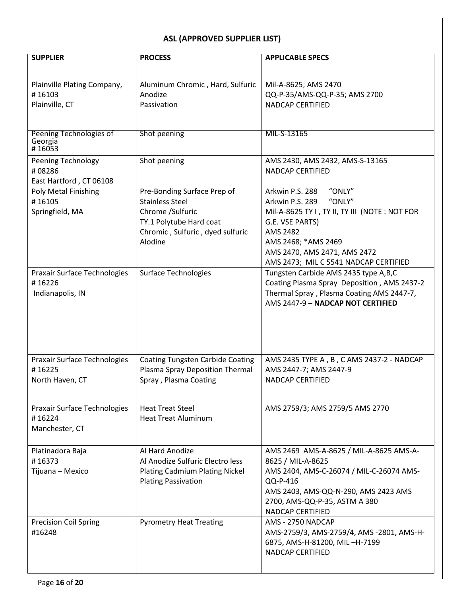| <b>SUPPLIER</b>                                 | <b>PROCESS</b>                          | <b>APPLICABLE SPECS</b>                           |
|-------------------------------------------------|-----------------------------------------|---------------------------------------------------|
|                                                 |                                         |                                                   |
| Plainville Plating Company,                     | Aluminum Chromic, Hard, Sulfuric        | Mil-A-8625; AMS 2470                              |
| #16103                                          | Anodize                                 | QQ-P-35/AMS-QQ-P-35; AMS 2700                     |
| Plainville, CT                                  | Passivation                             | <b>NADCAP CERTIFIED</b>                           |
|                                                 |                                         |                                                   |
| Peening Technologies of<br>Georgia              | Shot peening                            | MIL-S-13165                                       |
| #16053                                          |                                         |                                                   |
| <b>Peening Technology</b>                       | Shot peening                            | AMS 2430, AMS 2432, AMS-S-13165                   |
| #08286                                          |                                         | <b>NADCAP CERTIFIED</b>                           |
| East Hartford, CT 06108<br>Poly Metal Finishing | Pre-Bonding Surface Prep of             | "ONLY"<br>Arkwin P.S. 288                         |
| #16105                                          | <b>Stainless Steel</b>                  | Arkwin P.S. 289<br>"ONLY"                         |
| Springfield, MA                                 | Chrome /Sulfuric                        | Mil-A-8625 TY I, TY II, TY III (NOTE: NOT FOR     |
|                                                 | TY.1 Polytube Hard coat                 | G.E. VSE PARTS)                                   |
|                                                 | Chromic, Sulfuric, dyed sulfuric        | AMS 2482                                          |
|                                                 | Alodine                                 | AMS 2468; *AMS 2469                               |
|                                                 |                                         | AMS 2470, AMS 2471, AMS 2472                      |
|                                                 |                                         | AMS 2473; MIL C 5541 NADCAP CERTIFIED             |
| Praxair Surface Technologies                    | <b>Surface Technologies</b>             | Tungsten Carbide AMS 2435 type A,B,C              |
| #16226                                          |                                         | Coating Plasma Spray Deposition, AMS 2437-2       |
| Indianapolis, IN                                |                                         | Thermal Spray, Plasma Coating AMS 2447-7,         |
|                                                 |                                         | AMS 2447-9 - NADCAP NOT CERTIFIED                 |
|                                                 |                                         |                                                   |
|                                                 |                                         |                                                   |
|                                                 |                                         |                                                   |
|                                                 |                                         |                                                   |
| <b>Praxair Surface Technologies</b>             | <b>Coating Tungsten Carbide Coating</b> | AMS 2435 TYPE A, B, C AMS 2437-2 - NADCAP         |
| #16225                                          | Plasma Spray Deposition Thermal         | AMS 2447-7; AMS 2447-9                            |
| North Haven, CT                                 | Spray, Plasma Coating                   | <b>NADCAP CERTIFIED</b>                           |
|                                                 |                                         |                                                   |
| Praxair Surface Technologies                    | <b>Heat Treat Steel</b>                 | AMS 2759/3; AMS 2759/5 AMS 2770                   |
| #16224                                          | <b>Heat Treat Aluminum</b>              |                                                   |
| Manchester, CT                                  |                                         |                                                   |
|                                                 |                                         |                                                   |
| Platinadora Baja                                | Al Hard Anodize                         | AMS 2469 AMS-A-8625 / MIL-A-8625 AMS-A-           |
| #16373                                          | Al Anodize Sulfuric Electro less        | 8625 / MIL-A-8625                                 |
| Tijuana - Mexico                                | <b>Plating Cadmium Plating Nickel</b>   | AMS 2404, AMS-C-26074 / MIL-C-26074 AMS-          |
|                                                 | <b>Plating Passivation</b>              | QQ-P-416                                          |
|                                                 |                                         | AMS 2403, AMS-QQ-N-290, AMS 2423 AMS              |
|                                                 |                                         | 2700, AMS-QQ-P-35, ASTM A 380<br>NADCAP CERTIFIED |
| <b>Precision Coil Spring</b>                    | <b>Pyrometry Heat Treating</b>          | AMS - 2750 NADCAP                                 |
| #16248                                          |                                         | AMS-2759/3, AMS-2759/4, AMS -2801, AMS-H-         |
|                                                 |                                         | 6875, AMS-H-81200, MIL-H-7199                     |
|                                                 |                                         | <b>NADCAP CERTIFIED</b>                           |
|                                                 |                                         |                                                   |
|                                                 |                                         |                                                   |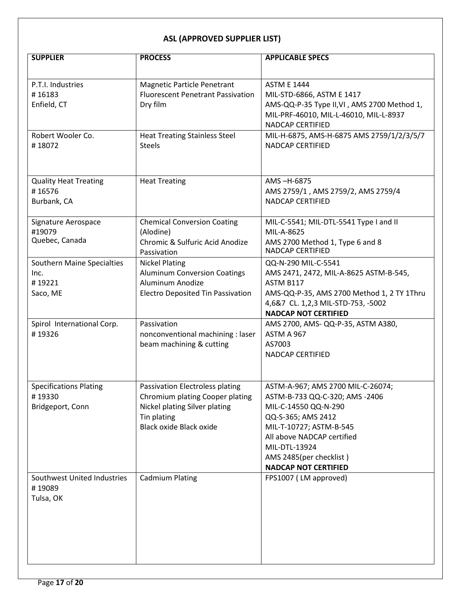| <b>SUPPLIER</b>                                                 | <b>PROCESS</b>                                                                                                                                       | <b>APPLICABLE SPECS</b>                                                                                                                                                                                                                               |
|-----------------------------------------------------------------|------------------------------------------------------------------------------------------------------------------------------------------------------|-------------------------------------------------------------------------------------------------------------------------------------------------------------------------------------------------------------------------------------------------------|
|                                                                 |                                                                                                                                                      |                                                                                                                                                                                                                                                       |
| P.T.I. Industries<br>#16183<br>Enfield, CT                      | <b>Magnetic Particle Penetrant</b><br><b>Fluorescent Penetrant Passivation</b><br>Dry film                                                           | <b>ASTM E 1444</b><br>MIL-STD-6866, ASTM E 1417<br>AMS-QQ-P-35 Type II, VI, AMS 2700 Method 1,<br>MIL-PRF-46010, MIL-L-46010, MIL-L-8937                                                                                                              |
| Robert Wooler Co.<br>#18072                                     | <b>Heat Treating Stainless Steel</b><br><b>Steels</b>                                                                                                | <b>NADCAP CERTIFIED</b><br>MIL-H-6875, AMS-H-6875 AMS 2759/1/2/3/5/7<br><b>NADCAP CERTIFIED</b>                                                                                                                                                       |
|                                                                 |                                                                                                                                                      |                                                                                                                                                                                                                                                       |
| <b>Quality Heat Treating</b><br>#16576<br>Burbank, CA           | <b>Heat Treating</b>                                                                                                                                 | AMS-H-6875<br>AMS 2759/1, AMS 2759/2, AMS 2759/4<br><b>NADCAP CERTIFIED</b>                                                                                                                                                                           |
| Signature Aerospace<br>#19079<br>Quebec, Canada                 | <b>Chemical Conversion Coating</b><br>(Alodine)<br>Chromic & Sulfuric Acid Anodize<br>Passivation                                                    | MIL-C-5541; MIL-DTL-5541 Type I and II<br>MIL-A-8625<br>AMS 2700 Method 1, Type 6 and 8<br><b>NADCAP CERTIFIED</b>                                                                                                                                    |
| <b>Southern Maine Specialties</b><br>Inc.<br>#19221<br>Saco, ME | <b>Nickel Plating</b><br><b>Aluminum Conversion Coatings</b><br>Aluminum Anodize<br><b>Electro Deposited Tin Passivation</b>                         | QQ-N-290 MIL-C-5541<br>AMS 2471, 2472, MIL-A-8625 ASTM-B-545,<br>ASTM B117<br>AMS-QQ-P-35, AMS 2700 Method 1, 2 TY 1Thru<br>4,6&7 CL. 1,2,3 MIL-STD-753, -5002<br><b>NADCAP NOT CERTIFIED</b>                                                         |
| Spirol International Corp.<br>#19326                            | Passivation<br>nonconventional machining : laser<br>beam machining & cutting                                                                         | AMS 2700, AMS- QQ-P-35, ASTM A380,<br>ASTM A 967<br>AS7003<br><b>NADCAP CERTIFIED</b>                                                                                                                                                                 |
| <b>Specifications Plating</b><br>#19330<br>Bridgeport, Conn     | Passivation Electroless plating<br>Chromium plating Cooper plating<br>Nickel plating Silver plating<br>Tin plating<br><b>Black oxide Black oxide</b> | ASTM-A-967; AMS 2700 MIL-C-26074;<br>ASTM-B-733 QQ-C-320; AMS -2406<br>MIL-C-14550 QQ-N-290<br>QQ-S-365; AMS 2412<br>MIL-T-10727; ASTM-B-545<br>All above NADCAP certified<br>MIL-DTL-13924<br>AMS 2485(per checklist)<br><b>NADCAP NOT CERTIFIED</b> |
| Southwest United Industries<br>#19089<br>Tulsa, OK              | <b>Cadmium Plating</b>                                                                                                                               | FPS1007 (LM approved)                                                                                                                                                                                                                                 |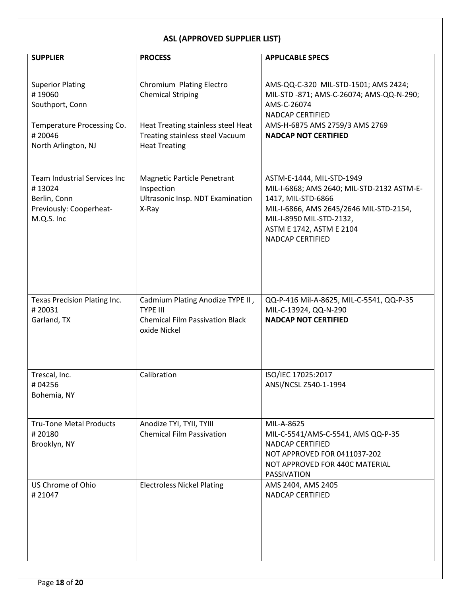| <b>SUPPLIER</b>                                                                                                        | <b>PROCESS</b>                                                                                                                | <b>APPLICABLE SPECS</b>                                                                                                                                                                          |
|------------------------------------------------------------------------------------------------------------------------|-------------------------------------------------------------------------------------------------------------------------------|--------------------------------------------------------------------------------------------------------------------------------------------------------------------------------------------------|
| <b>Superior Plating</b><br>#19060<br>Southport, Conn<br>Temperature Processing Co.<br>#20046                           | Chromium Plating Electro<br><b>Chemical Striping</b><br>Heat Treating stainless steel Heat<br>Treating stainless steel Vacuum | AMS-QQ-C-320 MIL-STD-1501; AMS 2424;<br>MIL-STD -871; AMS-C-26074; AMS-QQ-N-290;<br>AMS-C-26074<br>NADCAP CERTIFIED<br>AMS-H-6875 AMS 2759/3 AMS 2769<br><b>NADCAP NOT CERTIFIED</b>             |
| North Arlington, NJ<br>Team Industrial Services Inc<br>#13024<br>Berlin, Conn<br>Previously: Cooperheat-<br>M.Q.S. Inc | <b>Heat Treating</b><br><b>Magnetic Particle Penetrant</b><br>Inspection<br>Ultrasonic Insp. NDT Examination<br>X-Ray         | ASTM-E-1444, MIL-STD-1949<br>MIL-I-6868; AMS 2640; MIL-STD-2132 ASTM-E-<br>1417, MIL-STD-6866<br>MIL-I-6866, AMS 2645/2646 MIL-STD-2154,<br>MIL-I-8950 MIL-STD-2132,<br>ASTM E 1742, ASTM E 2104 |
| Texas Precision Plating Inc.<br>#20031<br>Garland, TX                                                                  | Cadmium Plating Anodize TYPE II,<br><b>TYPE III</b><br><b>Chemical Film Passivation Black</b><br>oxide Nickel                 | <b>NADCAP CERTIFIED</b><br>QQ-P-416 Mil-A-8625, MIL-C-5541, QQ-P-35<br>MIL-C-13924, QQ-N-290<br><b>NADCAP NOT CERTIFIED</b>                                                                      |
| Trescal, Inc.<br>#04256<br>Bohemia, NY                                                                                 | Calibration                                                                                                                   | ISO/IEC 17025:2017<br>ANSI/NCSL Z540-1-1994                                                                                                                                                      |
| <b>Tru-Tone Metal Products</b><br>#20180<br>Brooklyn, NY                                                               | Anodize TYI, TYII, TYIII<br><b>Chemical Film Passivation</b>                                                                  | MIL-A-8625<br>MIL-C-5541/AMS-C-5541, AMS QQ-P-35<br><b>NADCAP CERTIFIED</b><br>NOT APPROVED FOR 0411037-202<br>NOT APPROVED FOR 440C MATERIAL<br>PASSIVATION                                     |
| US Chrome of Ohio<br>#21047                                                                                            | <b>Electroless Nickel Plating</b>                                                                                             | AMS 2404, AMS 2405<br><b>NADCAP CERTIFIED</b>                                                                                                                                                    |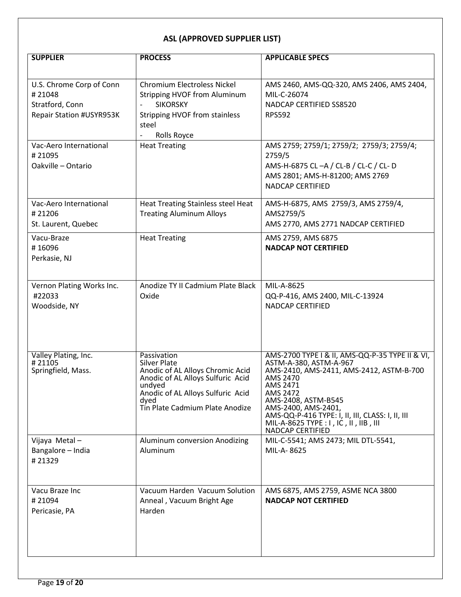| <b>SUPPLIER</b>                                                                                                                             | <b>PROCESS</b>                                                                                                                                                                                                   | <b>APPLICABLE SPECS</b>                                                                                                                                                                                                                                                                                                  |
|---------------------------------------------------------------------------------------------------------------------------------------------|------------------------------------------------------------------------------------------------------------------------------------------------------------------------------------------------------------------|--------------------------------------------------------------------------------------------------------------------------------------------------------------------------------------------------------------------------------------------------------------------------------------------------------------------------|
| U.S. Chrome Corp of Conn<br>#21048<br>Stratford, Conn<br>Repair Station #USYR953K<br>Vac-Aero International<br>#21095<br>Oakville - Ontario | <b>Chromium Electroless Nickel</b><br><b>Stripping HVOF from Aluminum</b><br><b>SIKORSKY</b><br>$\overline{\phantom{a}}$<br><b>Stripping HVOF from stainless</b><br>steel<br>Rolls Royce<br><b>Heat Treating</b> | AMS 2460, AMS-QQ-320, AMS 2406, AMS 2404,<br>MIL-C-26074<br>NADCAP CERTIFIED SS8520<br><b>RPS592</b><br>AMS 2759; 2759/1; 2759/2; 2759/3; 2759/4;<br>2759/5<br>AMS-H-6875 CL-A / CL-B / CL-C / CL-D<br>AMS 2801; AMS-H-81200; AMS 2769<br><b>NADCAP CERTIFIED</b>                                                        |
| Vac-Aero International<br>#21206<br>St. Laurent, Quebec                                                                                     | <b>Heat Treating Stainless steel Heat</b><br><b>Treating Aluminum Alloys</b>                                                                                                                                     | AMS-H-6875, AMS 2759/3, AMS 2759/4,<br>AMS2759/5<br>AMS 2770, AMS 2771 NADCAP CERTIFIED                                                                                                                                                                                                                                  |
| Vacu-Braze<br>#16096<br>Perkasie, NJ                                                                                                        | <b>Heat Treating</b>                                                                                                                                                                                             | AMS 2759, AMS 6875<br><b>NADCAP NOT CERTIFIED</b>                                                                                                                                                                                                                                                                        |
| Vernon Plating Works Inc.<br>#22033<br>Woodside, NY                                                                                         | Anodize TY II Cadmium Plate Black<br>Oxide                                                                                                                                                                       | MIL-A-8625<br>QQ-P-416, AMS 2400, MIL-C-13924<br><b>NADCAP CERTIFIED</b>                                                                                                                                                                                                                                                 |
| Valley Plating, Inc.<br>#21105<br>Springfield, Mass.                                                                                        | Passivation<br><b>Silver Plate</b><br>Anodic of AL Alloys Chromic Acid<br>Anodic of AL Alloys Sulfuric Acid<br>undyed<br>Anodic of AL Alloys Sulfuric Acid<br>dyed<br>Tin Plate Cadmium Plate Anodize            | AMS-2700 TYPE I & II, AMS-QQ-P-35 TYPE II & VI,<br>ASTM-A-380, ASTM-A-967<br>AMS-2410, AMS-2411, AMS-2412, ASTM-B-700<br>AMS 2470<br>AMS 2471<br>AMS 2472<br>AMS-2408, ASTM-B545<br>AMS-2400, AMS-2401,<br>AMS-QQ-P-416 TYPE: I, II, III, CLASS: I, II, III<br>MIL-A-8625 TYPE : I, IC, II, IIB, III<br>NADCAP CERTIFIED |
| Vijaya Metal-<br>Bangalore - India<br>#21329                                                                                                | Aluminum conversion Anodizing<br>Aluminum                                                                                                                                                                        | MIL-C-5541; AMS 2473; MIL DTL-5541,<br>MIL-A-8625                                                                                                                                                                                                                                                                        |
| Vacu Braze Inc<br>#21094<br>Pericasie, PA                                                                                                   | Vacuum Harden Vacuum Solution<br>Anneal, Vacuum Bright Age<br>Harden                                                                                                                                             | AMS 6875, AMS 2759, ASME NCA 3800<br><b>NADCAP NOT CERTIFIED</b>                                                                                                                                                                                                                                                         |